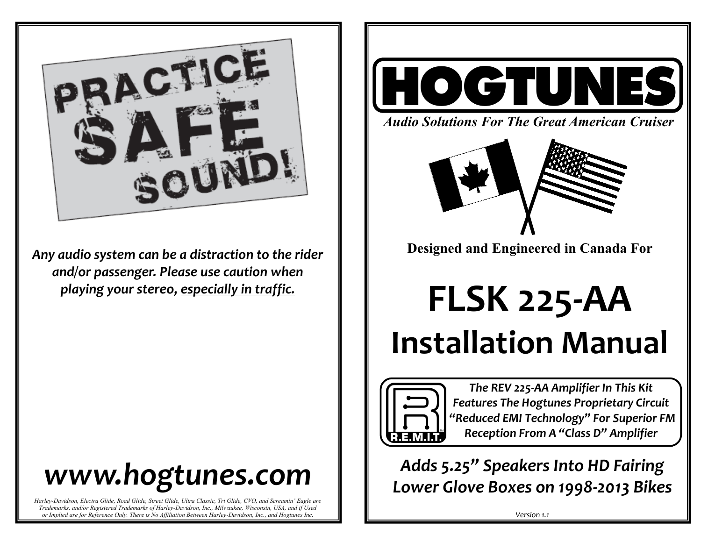

*Any audio system can be a distraction to the rider and/or passenger. Please use caution when playing your stereo, especially in traffic.* 

# *www.hogtunes.com*

*Harley-Davidson, Electra Glide, Road Glide, Street Glide, Ultra Classic, Tri Glide, CVO, and Screamin' Eagle are Trademarks, and/or Registered Trademarks of Harley-Davidson, Inc., Milwaukee, Wisconsin, USA, and if Used or Implied are for Reference Only. There is No Affiliation Between Harley-Davidson, Inc., and Hogtunes Inc.*



*Audio Solutions For The Great American Cruiser*



**Designed and Engineered in Canada For** 

**FLSK 225-AA Installation Manual**



*The REV 225-AA Amplifier In This Kit Features The Hogtunes Proprietary Circuit "Reduced EMI Technology" For Superior FM Reception From A "Class D" Amplifier*

*Adds 5.25" Speakers Into HD Fairing Lower Glove Boxes on 1998-2013 Bikes* 

*Version 1.1*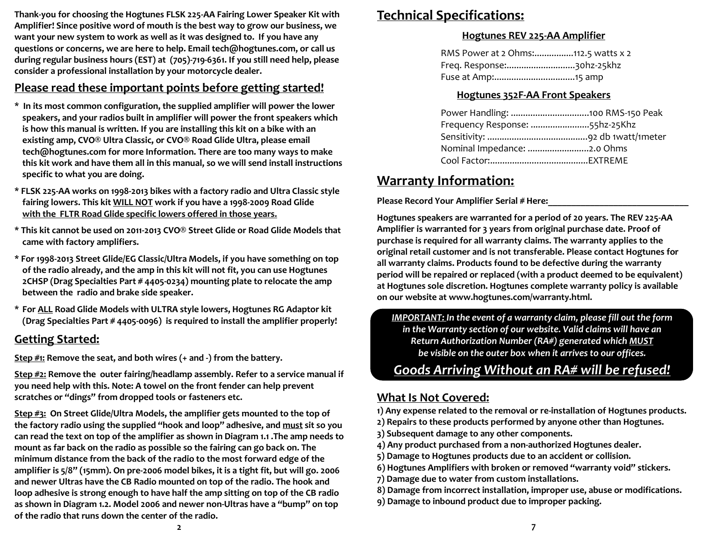**Thank-you for choosing the Hogtunes FLSK 225-AA Fairing Lower Speaker Kit with Amplifier! Since positive word of mouth is the best way to grow our business, we want your new system to work as well as it was designed to. If you have any questions or concerns, we are here to help. Email tech@hogtunes.com, or call us during regular business hours (EST) at (705)-719-6361. If you still need help, please consider a professional installation by your motorcycle dealer.** 

### **Please read these important points before getting started!**

- **\* In its most common configuration, the supplied amplifier will power the lower speakers, and your radios built in amplifier will power the front speakers which is how this manual is written. If you are installing this kit on a bike with an existing amp, CVO® Ultra Classic, or CVO® Road Glide Ultra, please email tech@hogtunes.com for more Information. There are too many ways to make this kit work and have them all in this manual, so we will send install instructions specific to what you are doing.**
- **\* FLSK 225-AA works on 1998-2013 bikes with a factory radio and Ultra Classic style fairing lowers. This kit WILL NOT work if you have a 1998-2009 Road Glide with the FLTR Road Glide specific lowers offered in those years.**
- **\* This kit cannot be used on 2011-2013 CVO® Street Glide or Road Glide Models that came with factory amplifiers.**
- **\* For 1998-2013 Street Glide/EG Classic/Ultra Models, if you have something on top of the radio already, and the amp in this kit will not fit, you can use Hogtunes 2CHSP (Drag Specialties Part # 4405-0234) mounting plate to relocate the amp between the radio and brake side speaker.**
- **\* For ALL Road Glide Models with ULTRA style lowers, Hogtunes RG Adaptor kit (Drag Specialties Part # 4405-0096) is required to install the amplifier properly!**

### **Getting Started:**

**Step #1: Remove the seat, and both wires (+ and -) from the battery.**

**Step #2: Remove the outer fairing/headlamp assembly. Refer to a service manual if you need help with this. Note: A towel on the front fender can help prevent scratches or "dings" from dropped tools or fasteners etc.** 

**Step #3: On Street Glide/Ultra Models, the amplifier gets mounted to the top of the factory radio using the supplied "hook and loop" adhesive, and must sit so you can read the text on top of the amplifier as shown in Diagram 1.1 .The amp needs to mount as far back on the radio as possible so the fairing can go back on. The minimum distance from the back of the radio to the most forward edge of the amplifier is 5/8" (15mm). On pre-2006 model bikes, it is a tight fit, but will go. 2006 and newer Ultras have the CB Radio mounted on top of the radio. The hook and loop adhesive is strong enough to have half the amp sitting on top of the CB radio as shown in Diagram 1.2. Model 2006 and newer non-Ultras have a "bump" on top of the radio that runs down the center of the radio.** 

## **Technical Specifications:**

#### **Hogtunes REV 225-AA Amplifier**

| RMS Power at 2 Ohms:112.5 watts x 2 |  |
|-------------------------------------|--|
| Freq. Response:30hz-25khz           |  |
|                                     |  |

#### **Hogtunes 352F-AA Front Speakers**

| Frequency Response: 55hz-25Khz |  |
|--------------------------------|--|
|                                |  |
| Nominal Impedance: 2.0 Ohms    |  |
|                                |  |

## **Warranty Information:**

Please Record Your Amplifier Serial # Here:

**Hogtunes speakers are warranted for a period of 20 years. The REV 225-AA Amplifier is warranted for 3 years from original purchase date. Proof of purchase is required for all warranty claims. The warranty applies to the original retail customer and is not transferable. Please contact Hogtunes for all warranty claims. Products found to be defective during the warranty period will be repaired or replaced (with a product deemed to be equivalent) at Hogtunes sole discretion. Hogtunes complete warranty policy is available on our website at www.hogtunes.com/warranty.html.**

*IMPORTANT: In the event of a warranty claim, please fill out the form in the Warranty section of our website. Valid claims will have an Return Authorization Number (RA#) generated which MUST be visible on the outer box when it arrives to our offices.* 

# *Goods Arriving Without an RA# will be refused!*

## **What Is Not Covered:**

**1) Any expense related to the removal or re-installation of Hogtunes products.**

- **2) Repairs to these products performed by anyone other than Hogtunes.**
- **3) Subsequent damage to any other components.**
- **4) Any product purchased from a non-authorized Hogtunes dealer.**
- **5) Damage to Hogtunes products due to an accident or collision.**
- **6) Hogtunes Amplifiers with broken or removed "warranty void" stickers.**
- **7) Damage due to water from custom installations.**
- **8) Damage from incorrect installation, improper use, abuse or modifications.**
- **9) Damage to inbound product due to improper packing.**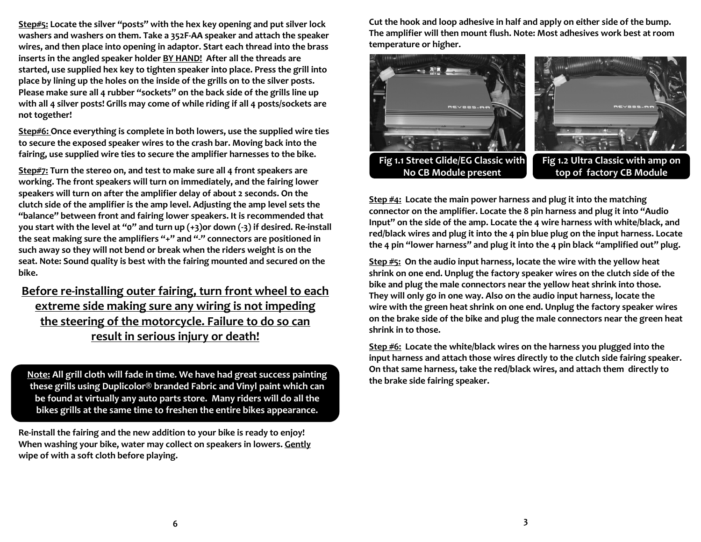**Step#5: Locate the silver "posts" with the hex key opening and put silver lock washers and washers on them. Take a 352F-AA speaker and attach the speaker wires, and then place into opening in adaptor. Start each thread into the brass inserts in the angled speaker holder BY HAND! After all the threads are started, use supplied hex key to tighten speaker into place. Press the grill into place by lining up the holes on the inside of the grills on to the silver posts. Please make sure all 4 rubber "sockets" on the back side of the grills line up with all 4 silver posts! Grills may come of while riding if all 4 posts/sockets are not together!**

**Step#6: Once everything is complete in both lowers, use the supplied wire ties to secure the exposed speaker wires to the crash bar. Moving back into the fairing, use supplied wire ties to secure the amplifier harnesses to the bike.** 

**Step#7: Turn the stereo on, and test to make sure all 4 front speakers are working. The front speakers will turn on immediately, and the fairing lower speakers will turn on after the amplifier delay of about 2 seconds. On the clutch side of the amplifier is the amp level. Adjusting the amp level sets the "balance" between front and fairing lower speakers. It is recommended that you start with the level at "0" and turn up (+3)or down (-3) if desired. Re-install the seat making sure the amplifiers "+" and "-" connectors are positioned in such away so they will not bend or break when the riders weight is on the seat. Note: Sound quality is best with the fairing mounted and secured on the bike.** 

**Before re-installing outer fairing, turn front wheel to each extreme side making sure any wiring is not impeding the steering of the motorcycle. Failure to do so can result in serious injury or death!** 

**Note: All grill cloth will fade in time. We have had great success painting these grills using Duplicolor® branded Fabric and Vinyl paint which can be found at virtually any auto parts store. Many riders will do all the bikes grills at the same time to freshen the entire bikes appearance.**

**Re-install the fairing and the new addition to your bike is ready to enjoy! When washing your bike, water may collect on speakers in lowers. Gently wipe of with a soft cloth before playing.**

**Cut the hook and loop adhesive in half and apply on either side of the bump. The amplifier will then mount flush. Note: Most adhesives work best at room temperature or higher.** 



**Step #4: Locate the main power harness and plug it into the matching connector on the amplifier. Locate the 8 pin harness and plug it into "Audio Input" on the side of the amp. Locate the 4 wire harness with white/black, and red/black wires and plug it into the 4 pin blue plug on the input harness. Locate the 4 pin "lower harness" and plug it into the 4 pin black "amplified out" plug.**

**Step #5: On the audio input harness, locate the wire with the yellow heat shrink on one end. Unplug the factory speaker wires on the clutch side of the bike and plug the male connectors near the yellow heat shrink into those. They will only go in one way. Also on the audio input harness, locate the wire with the green heat shrink on one end. Unplug the factory speaker wires on the brake side of the bike and plug the male connectors near the green heat shrink in to those.** 

**Step #6: Locate the white/black wires on the harness you plugged into the input harness and attach those wires directly to the clutch side fairing speaker. On that same harness, take the red/black wires, and attach them directly to the brake side fairing speaker.**